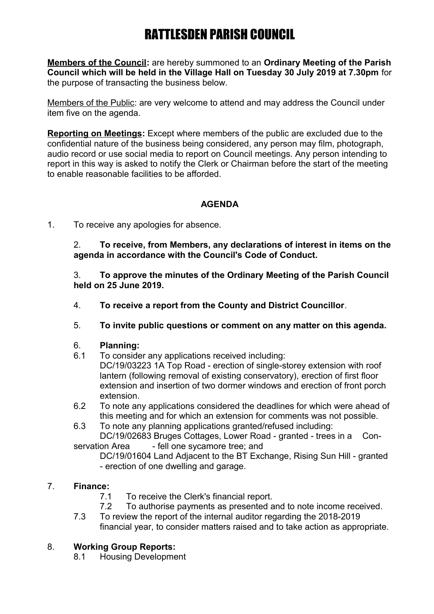**Members of the Council:** are hereby summoned to an **Ordinary Meeting of the Parish Council which will be held in the Village Hall on Tuesday 30 July 2019 at 7.30pm** for the purpose of transacting the business below.

Members of the Public: are very welcome to attend and may address the Council under item five on the agenda.

**Reporting on Meetings:** Except where members of the public are excluded due to the confidential nature of the business being considered, any person may film, photograph, audio record or use social media to report on Council meetings. Any person intending to report in this way is asked to notify the Clerk or Chairman before the start of the meeting to enable reasonable facilities to be afforded.

## **AGENDA**

1. To receive any apologies for absence.

2. **To receive, from Members, any declarations of interest in items on the agenda in accordance with the Council's Code of Conduct.**

3. **To approve the minutes of the Ordinary Meeting of the Parish Council held on 25 June 2019.**

- 4. **To receive a report from the County and District Councillor**.
- 5. **To invite public questions or comment on any matter on this agenda.**

### 6. **Planning:**

- 6.1 To consider any applications received including: DC/19/03223 1A Top Road - erection of single-storey extension with roof lantern (following removal of existing conservatory), erection of first floor extension and insertion of two dormer windows and erection of front porch extension.
- 6.2 To note any applications considered the deadlines for which were ahead of this meeting and for which an extension for comments was not possible.
- 6.3 To note any planning applications granted/refused including: DC/19/02683 Bruges Cottages, Lower Road - granted - trees in a Con-

servation Area - fell one sycamore tree; and

DC/19/01604 Land Adjacent to the BT Exchange, Rising Sun Hill - granted - erection of one dwelling and garage.

## 7. **Finance:**

- 7.1 To receive the Clerk's financial report.
- 7.2 To authorise payments as presented and to note income received.
- 7.3 To review the report of the internal auditor regarding the 2018-2019 financial year, to consider matters raised and to take action as appropriate.

## 8. **Working Group Reports:**

8.1 Housing Development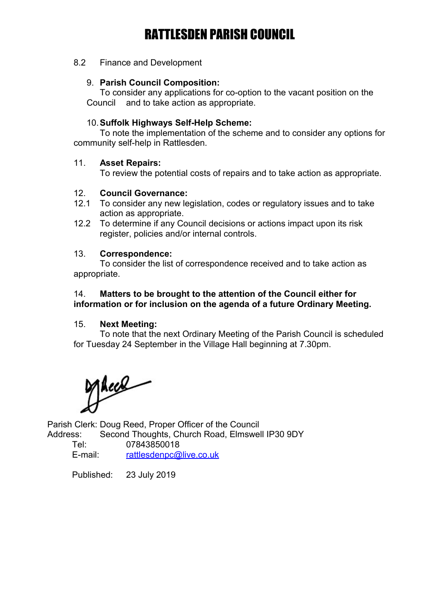8.2 Finance and Development

### 9. **Parish Council Composition:**

To consider any applications for co-option to the vacant position on the Council and to take action as appropriate.

### 10.**Suffolk Highways Self-Help Scheme:**

To note the implementation of the scheme and to consider any options for community self-help in Rattlesden.

### 11. **Asset Repairs:**

To review the potential costs of repairs and to take action as appropriate.

### 12. **Council Governance:**

- 12.1 To consider any new legislation, codes or regulatory issues and to take action as appropriate.
- 12.2 To determine if any Council decisions or actions impact upon its risk register, policies and/or internal controls.

### 13. **Correspondence:**

To consider the list of correspondence received and to take action as appropriate.

### 14. **Matters to be brought to the attention of the Council either for information or for inclusion on the agenda of a future Ordinary Meeting.**

#### 15. **Next Meeting:**

To note that the next Ordinary Meeting of the Parish Council is scheduled for Tuesday 24 September in the Village Hall beginning at 7.30pm.

Mece

Parish Clerk: Doug Reed, Proper Officer of the Council Address: Second Thoughts, Church Road, Elmswell IP30 9DY

| Tel:    | 07843850018             |
|---------|-------------------------|
| E-mail: | rattlesdenpc@live.co.uk |

Published: 23 July 2019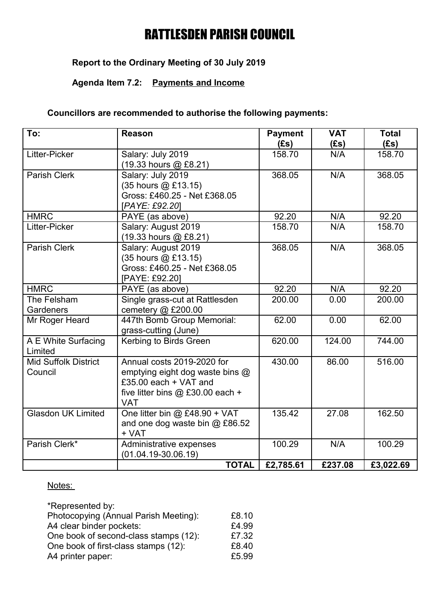# **Report to the Ordinary Meeting of 30 July 2019**

# **Agenda Item 7.2: Payments and Income**

## **Councillors are recommended to authorise the following payments:**

| To:                                    | <b>Reason</b>                                                                                                                              | <b>Payment</b><br>(Es) | <b>VAT</b><br>(Es) | <b>Total</b><br>(Es) |
|----------------------------------------|--------------------------------------------------------------------------------------------------------------------------------------------|------------------------|--------------------|----------------------|
| Litter-Picker                          | Salary: July 2019<br>(19.33 hours @ £8.21)                                                                                                 | 158.70                 | N/A                | 158.70               |
| <b>Parish Clerk</b>                    | Salary: July 2019<br>(35 hours @ £13.15)<br>Gross: £460.25 - Net £368.05<br>[PAYE: £92.20]                                                 | 368.05                 | N/A                | 368.05               |
| <b>HMRC</b>                            | PAYE (as above)                                                                                                                            | 92.20                  | N/A                | 92.20                |
| Litter-Picker                          | Salary: August 2019<br>(19.33 hours @ £8.21)                                                                                               | 158.70                 | N/A                | 158.70               |
| <b>Parish Clerk</b>                    | Salary: August 2019<br>(35 hours @ £13.15)<br>Gross: £460.25 - Net £368.05<br>[PAYE: £92.20]                                               | 368.05                 | N/A                | 368.05               |
| <b>HMRC</b>                            | PAYE (as above)                                                                                                                            | 92.20                  | N/A                | 92.20                |
| The Felsham<br>Gardeners               | Single grass-cut at Rattlesden<br>cemetery $@$ £200.00                                                                                     | 200.00                 | 0.00               | 200.00               |
| Mr Roger Heard                         | 447th Bomb Group Memorial:<br>grass-cutting (June)                                                                                         | 62.00                  | 0.00               | 62.00                |
| A E White Surfacing<br>Limited         | Kerbing to Birds Green                                                                                                                     | 620.00                 | 124.00             | 744.00               |
| <b>Mid Suffolk District</b><br>Council | Annual costs 2019-2020 for<br>emptying eight dog waste bins @<br>£35.00 each + VAT and<br>five litter bins $@$ £30.00 each +<br><b>VAT</b> | 430.00                 | 86.00              | 516.00               |
| <b>Glasdon UK Limited</b>              | One litter bin $@$ £48.90 + VAT<br>and one dog waste bin @ £86.52<br>+ VAT                                                                 | 135.42                 | 27.08              | 162.50               |
| Parish Clerk*                          | Administrative expenses<br>$(01.04.19 - 30.06.19)$                                                                                         | 100.29                 | N/A                | 100.29               |
|                                        | <b>TOTAL</b>                                                                                                                               | £2,785.61              | £237.08            | £3,022.69            |

### Notes:

| *Represented by:                      |       |
|---------------------------------------|-------|
| Photocopying (Annual Parish Meeting): | £8.10 |
| A4 clear binder pockets:              | £4.99 |
| One book of second-class stamps (12): | £7.32 |
| One book of first-class stamps (12):  | £8.40 |
| A4 printer paper:                     | £5.99 |
|                                       |       |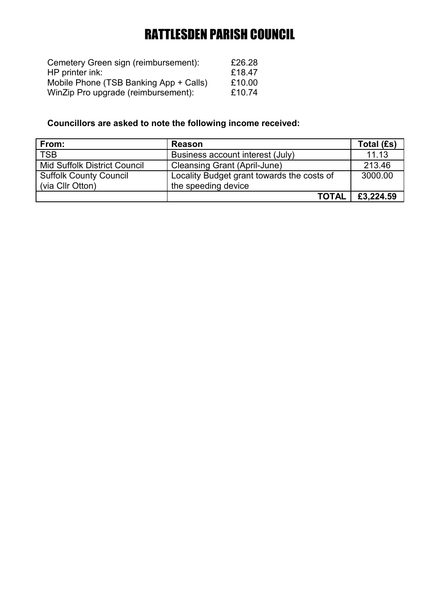| Cemetery Green sign (reimbursement):   | £26.28 |
|----------------------------------------|--------|
| HP printer ink:                        | £18.47 |
| Mobile Phone (TSB Banking App + Calls) | £10.00 |
| WinZip Pro upgrade (reimbursement):    | £10.74 |

# **Councillors are asked to note the following income received:**

| From:                               | <b>Reason</b>                              | Total (£s) |
|-------------------------------------|--------------------------------------------|------------|
| <b>TSB</b>                          | Business account interest (July)           | 11.13      |
| <b>Mid Suffolk District Council</b> | <b>Cleansing Grant (April-June)</b>        | 213.46     |
| <b>Suffolk County Council</b>       | Locality Budget grant towards the costs of | 3000.00    |
| (via Cllr Otton)                    | the speeding device                        |            |
|                                     | <b>TOTAL</b>                               | £3,224.59  |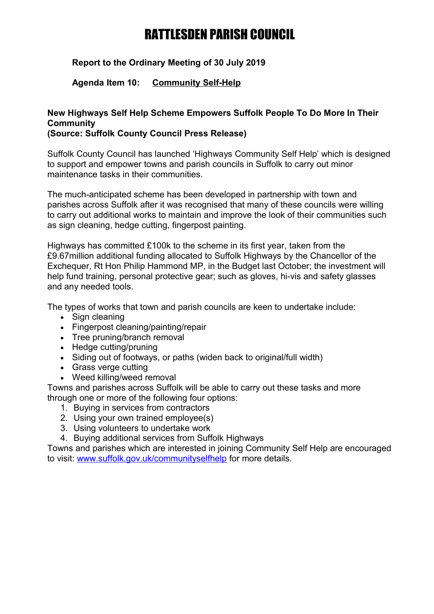## **Report to the Ordinary Meeting of 30 July 2019**

## **Agenda Item 10: Community Self-Help**

# **New Highways Self Help Scheme Empowers Suffolk People To Do More In Their Community**

## **(Source: Suffolk County Council Press Release)**

Suffolk County Council has launched 'Highways Community Self Help' which is designed to support and empower towns and parish councils in Suffolk to carry out minor maintenance tasks in their communities.

The much-anticipated scheme has been developed in partnership with town and parishes across Suffolk after it was recognised that many of these councils were willing to carry out additional works to maintain and improve the look of their communities such as sign cleaning, hedge cutting, fingerpost painting.

Highways has committed £100k to the scheme in its first year, taken from the £9.67million additional funding allocated to Suffolk Highways by the Chancellor of the Exchequer, Rt Hon Philip Hammond MP, in the Budget last October; the investment will help fund training, personal protective gear; such as gloves, hi-vis and safety glasses and any needed tools.

The types of works that town and parish councils are keen to undertake include:

- Sign cleaning
- Fingerpost cleaning/painting/repair
- Tree pruning/branch removal
- Hedge cutting/pruning
- Siding out of footways, or paths (widen back to original/full width)
- Grass verge cutting
- Weed killing/weed removal

Towns and parishes across Suffolk will be able to carry out these tasks and more through one or more of the following four options:

- 1. Buying in services from contractors
- 2. Using your own trained employee(s)
- 3. Using volunteers to undertake work
- 4. Buying additional services from Suffolk Highways

Towns and parishes which are interested in joining Community Self Help are encouraged to visit: [www.suffolk.gov.uk/communityselfhelp](https://onesuffolk.us10.list-manage.com/track/click?u=47b90ac34c3466a0c3f5f96d0&id=f2d489fb97&e=cd07c9de3f) for more details.